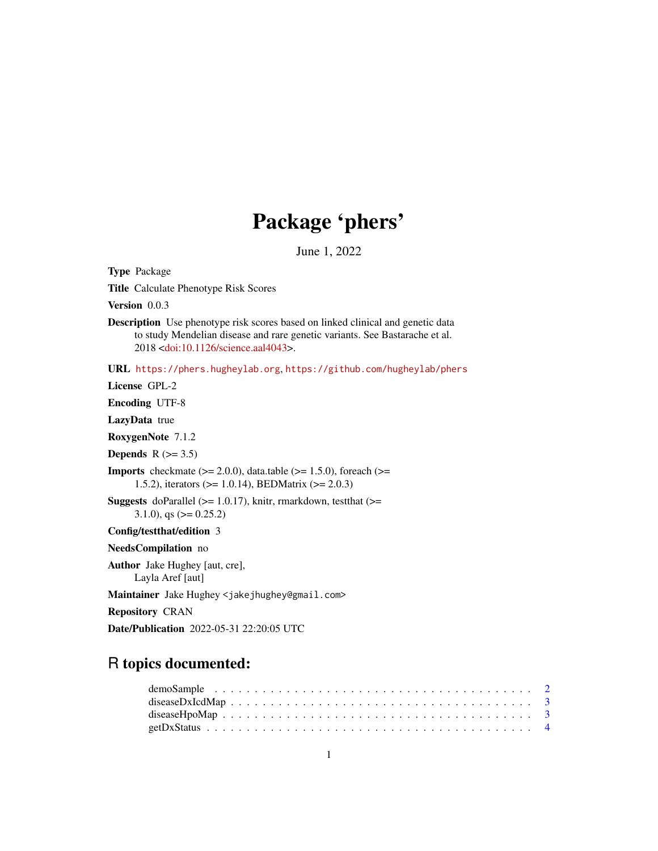## Package 'phers'

June 1, 2022

<span id="page-0-0"></span>Type Package Title Calculate Phenotype Risk Scores Version 0.0.3 Description Use phenotype risk scores based on linked clinical and genetic data to study Mendelian disease and rare genetic variants. See Bastarache et al. 2018 [<doi:10.1126/science.aal4043>](https://doi.org/10.1126/science.aal4043). URL <https://phers.hugheylab.org>, <https://github.com/hugheylab/phers> License GPL-2 Encoding UTF-8 LazyData true RoxygenNote 7.1.2 Depends  $R$  ( $>= 3.5$ ) **Imports** checkmate  $(>= 2.0.0)$ , data.table  $(>= 1.5.0)$ , foreach  $(>=$ 1.5.2), iterators (>= 1.0.14), BEDMatrix (>= 2.0.3) **Suggests** doParallel ( $>= 1.0.17$ ), knitr, rmarkdown, test that ( $>=$ 3.1.0), qs  $(>= 0.25.2)$ Config/testthat/edition 3 NeedsCompilation no Author Jake Hughey [aut, cre], Layla Aref [aut] Maintainer Jake Hughey <jakejhughey@gmail.com> Repository CRAN Date/Publication 2022-05-31 22:20:05 UTC

## R topics documented: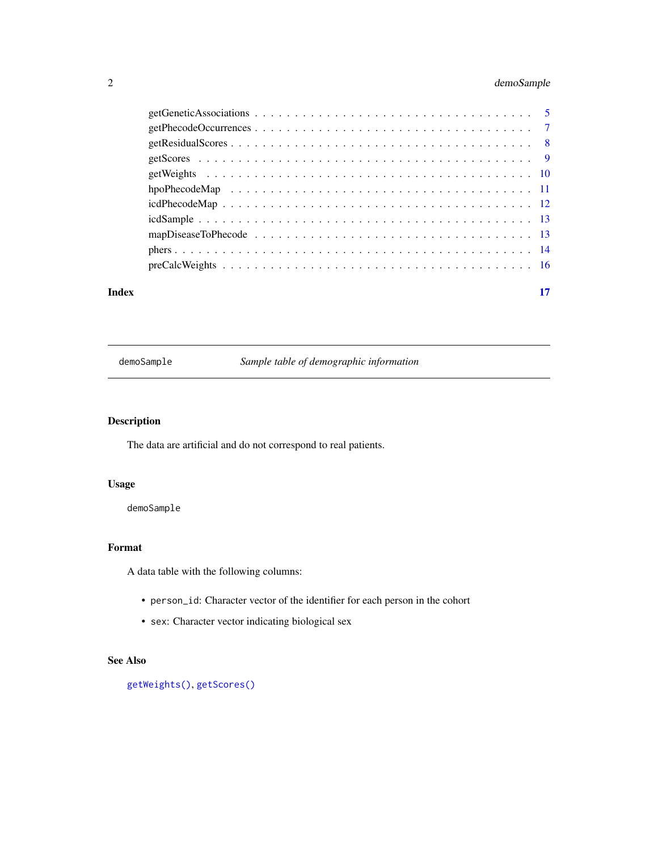## <span id="page-1-0"></span>2 demoSample

| Index | 17 |
|-------|----|

## demoSample *Sample table of demographic information*

## Description

The data are artificial and do not correspond to real patients.

## Usage

demoSample

## Format

A data table with the following columns:

- person\_id: Character vector of the identifier for each person in the cohort
- sex: Character vector indicating biological sex

## See Also

[getWeights\(\)](#page-9-1), [getScores\(\)](#page-8-1)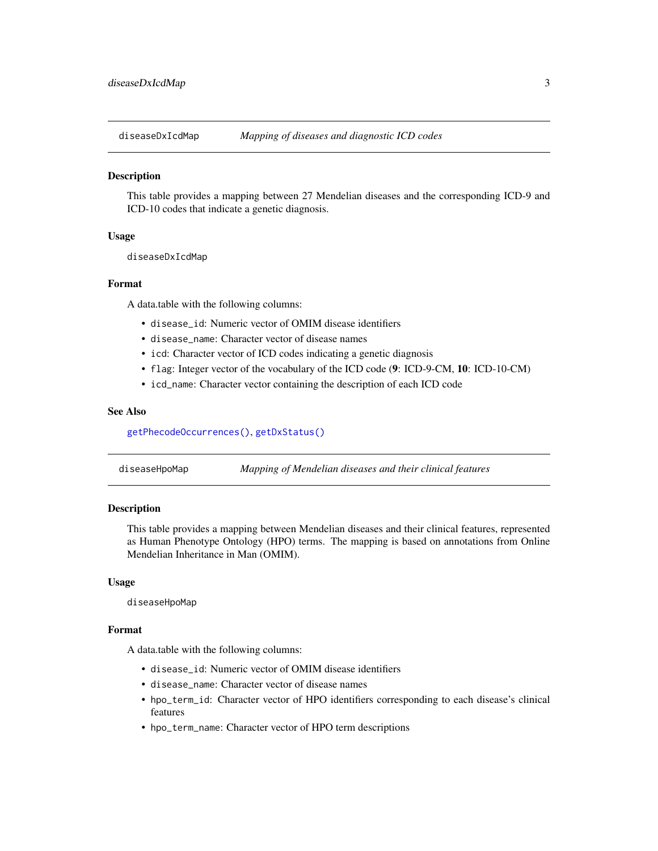<span id="page-2-1"></span><span id="page-2-0"></span>

## **Description**

This table provides a mapping between 27 Mendelian diseases and the corresponding ICD-9 and ICD-10 codes that indicate a genetic diagnosis.

## Usage

diseaseDxIcdMap

#### Format

A data.table with the following columns:

- disease id: Numeric vector of OMIM disease identifiers
- disease\_name: Character vector of disease names
- icd: Character vector of ICD codes indicating a genetic diagnosis
- flag: Integer vector of the vocabulary of the ICD code (9: ICD-9-CM, 10: ICD-10-CM)
- icd\_name: Character vector containing the description of each ICD code

#### See Also

[getPhecodeOccurrences\(\)](#page-6-1), [getDxStatus\(\)](#page-3-1)

| diseaseHpoMap | Mapping of Mendelian diseases and their clinical features |  |
|---------------|-----------------------------------------------------------|--|
|---------------|-----------------------------------------------------------|--|

## Description

This table provides a mapping between Mendelian diseases and their clinical features, represented as Human Phenotype Ontology (HPO) terms. The mapping is based on annotations from Online Mendelian Inheritance in Man (OMIM).

#### Usage

diseaseHpoMap

#### Format

A data.table with the following columns:

- disease\_id: Numeric vector of OMIM disease identifiers
- disease\_name: Character vector of disease names
- hpo\_term\_id: Character vector of HPO identifiers corresponding to each disease's clinical features
- hpo\_term\_name: Character vector of HPO term descriptions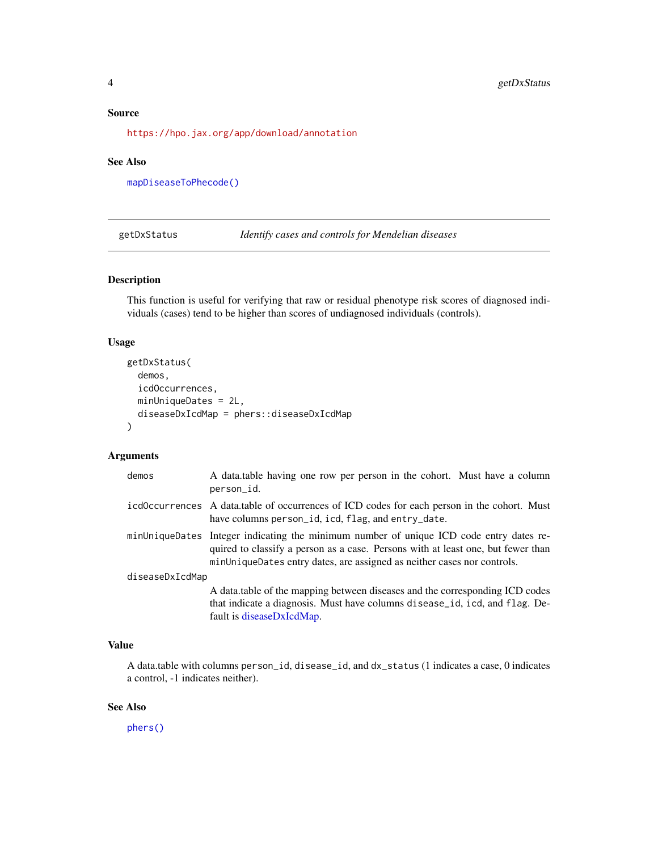#### <span id="page-3-0"></span>Source

<https://hpo.jax.org/app/download/annotation>

## See Also

[mapDiseaseToPhecode\(\)](#page-12-1)

<span id="page-3-1"></span>getDxStatus *Identify cases and controls for Mendelian diseases*

## Description

This function is useful for verifying that raw or residual phenotype risk scores of diagnosed individuals (cases) tend to be higher than scores of undiagnosed individuals (controls).

## Usage

```
getDxStatus(
  demos,
  icdOccurrences,
 minUniqueDates = 2L,
  diseaseDxIcdMap = phers::diseaseDxIcdMap
)
```
## Arguments

| demos           | A data table having one row per person in the cohort. Must have a column<br>person_id.                                                                                                                                                                 |
|-----------------|--------------------------------------------------------------------------------------------------------------------------------------------------------------------------------------------------------------------------------------------------------|
|                 | icd0ccurrences A data.table of occurrences of ICD codes for each person in the cohort. Must<br>have columns person_id, icd, flag, and entry_date.                                                                                                      |
|                 | minUniqueDates Integer indicating the minimum number of unique ICD code entry dates re-<br>quired to classify a person as a case. Persons with at least one, but fewer than<br>minUniqueDates entry dates, are assigned as neither cases nor controls. |
| diseaseDxIcdMap |                                                                                                                                                                                                                                                        |
|                 | A data table of the mapping between diseases and the corresponding ICD codes<br>that indicate a diagnosis. Must have columns disease_id, icd, and flag. De-<br>fault is diseaseDxIcdMap.                                                               |

## Value

A data.table with columns person\_id, disease\_id, and dx\_status (1 indicates a case, 0 indicates a control, -1 indicates neither).

## See Also

[phers\(\)](#page-13-1)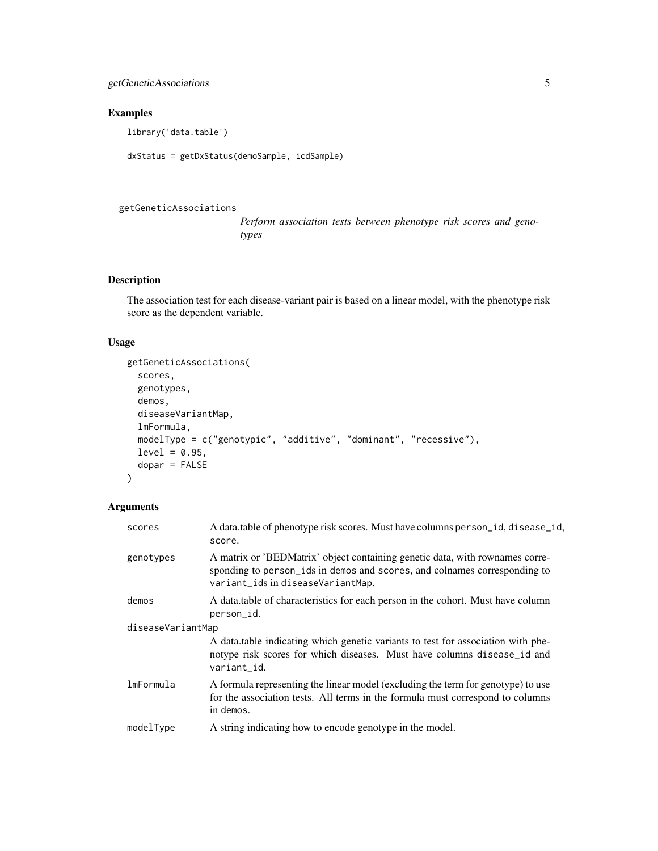## <span id="page-4-0"></span>getGeneticAssociations 5

## Examples

library('data.table')

dxStatus = getDxStatus(demoSample, icdSample)

## getGeneticAssociations

*Perform association tests between phenotype risk scores and genotypes*

## Description

The association test for each disease-variant pair is based on a linear model, with the phenotype risk score as the dependent variable.

## Usage

```
getGeneticAssociations(
  scores,
  genotypes,
  demos,
  diseaseVariantMap,
  lmFormula,
 modelType = c("genotypic", "additive", "dominant", "recessive"),
 level = 0.95,dopar = FALSE
\mathcal{L}
```
## Arguments

| scores            | A data table of phenotype risk scores. Must have columns person_id, disease_id,<br>score.                                                                                                      |  |  |  |  |
|-------------------|------------------------------------------------------------------------------------------------------------------------------------------------------------------------------------------------|--|--|--|--|
| genotypes         | A matrix or 'BEDMatrix' object containing genetic data, with rownames corre-<br>sponding to person_ids in demos and scores, and colnames corresponding to<br>variant_ids in diseaseVariantMap. |  |  |  |  |
| demos             | A data table of characteristics for each person in the cohort. Must have column<br>person_id.                                                                                                  |  |  |  |  |
| diseaseVariantMap |                                                                                                                                                                                                |  |  |  |  |
|                   | A data table indicating which genetic variants to test for association with phe-<br>notype risk scores for which diseases. Must have columns disease_id and<br>variant_id.                     |  |  |  |  |
| lmFormula         | A formula representing the linear model (excluding the term for genotype) to use<br>for the association tests. All terms in the formula must correspond to columns<br>in demos.                |  |  |  |  |
| modelType         | A string indicating how to encode genotype in the model.                                                                                                                                       |  |  |  |  |
|                   |                                                                                                                                                                                                |  |  |  |  |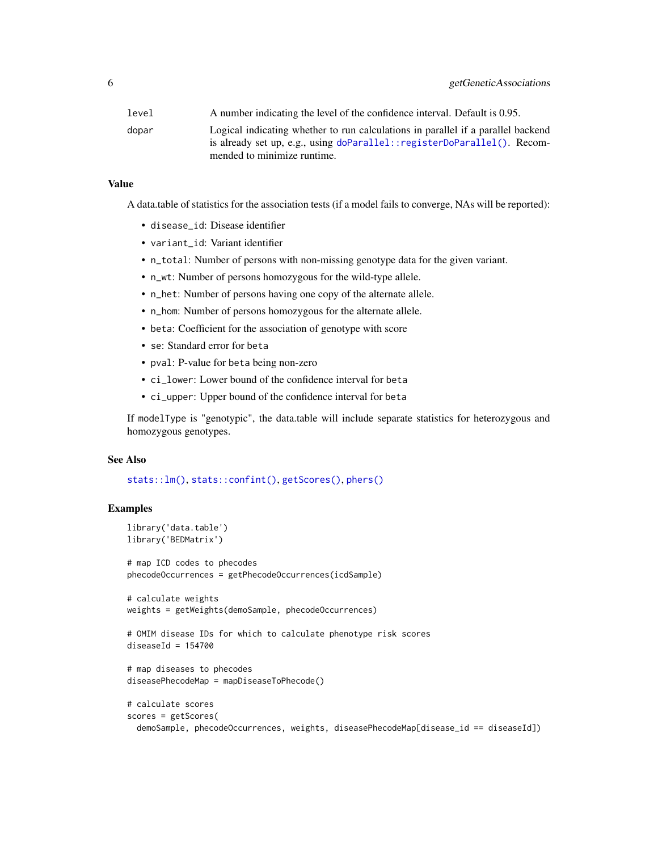<span id="page-5-0"></span>

| level | A number indicating the level of the confidence interval. Default is 0.95.                                                                                                                  |
|-------|---------------------------------------------------------------------------------------------------------------------------------------------------------------------------------------------|
| dopar | Logical indicating whether to run calculations in parallel if a parallel backend<br>is already set up, e.g., using doParallel:: registerDoParallel(). Recom-<br>mended to minimize runtime. |
|       |                                                                                                                                                                                             |

### Value

A data.table of statistics for the association tests (if a model fails to converge, NAs will be reported):

- disease\_id: Disease identifier
- variant\_id: Variant identifier
- n\_total: Number of persons with non-missing genotype data for the given variant.
- n\_wt: Number of persons homozygous for the wild-type allele.
- n\_het: Number of persons having one copy of the alternate allele.
- n\_hom: Number of persons homozygous for the alternate allele.
- beta: Coefficient for the association of genotype with score
- se: Standard error for beta
- pval: P-value for beta being non-zero
- ci\_lower: Lower bound of the confidence interval for beta
- ci\_upper: Upper bound of the confidence interval for beta

If modelType is "genotypic", the data.table will include separate statistics for heterozygous and homozygous genotypes.

## See Also

[stats::lm\(\)](#page-0-0), [stats::confint\(\)](#page-0-0), [getScores\(\)](#page-8-1), [phers\(\)](#page-13-1)

## Examples

```
library('data.table')
library('BEDMatrix')
# map ICD codes to phecodes
phecodeOccurrences = getPhecodeOccurrences(icdSample)
# calculate weights
weights = getWeights(demoSample, phecodeOccurrences)
# OMIM disease IDs for which to calculate phenotype risk scores
diseaseId = 154700# map diseases to phecodes
diseasePhecodeMap = mapDiseaseToPhecode()
# calculate scores
scores = getScores(
 demoSample, phecodeOccurrences, weights, diseasePhecodeMap[disease_id == diseaseId])
```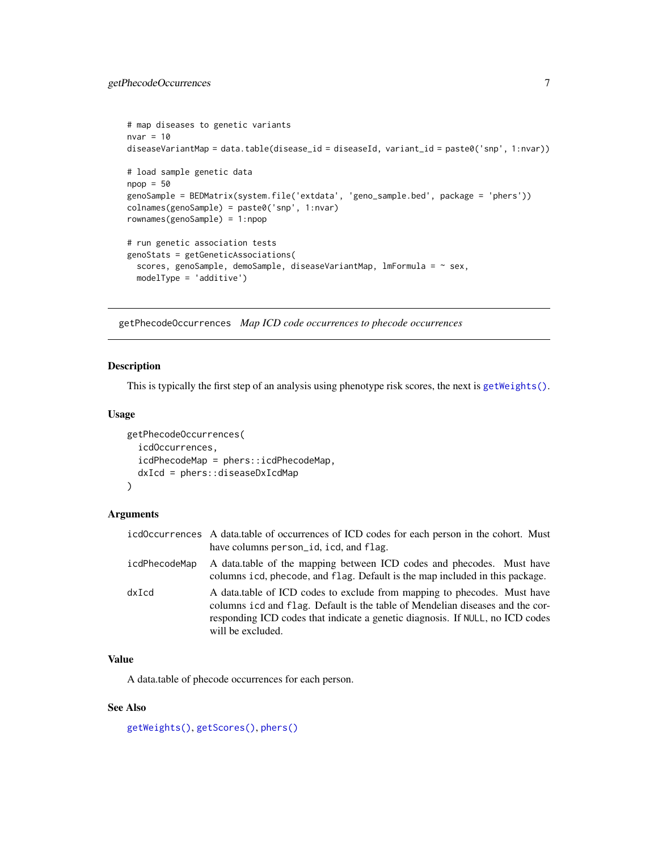```
# map diseases to genetic variants
nvar = 10diseaseVariantMap = data.table(disease_id = diseaseId, variant_id = paste0('snp', 1:nvar))
# load sample genetic data
npop = 50genoSample = BEDMatrix(system.file('extdata', 'geno_sample.bed', package = 'phers'))
colnames(genoSample) = paste0('snp', 1:nvar)
rownames(genoSample) = 1:npop
# run genetic association tests
genoStats = getGeneticAssociations(
  scores, genoSample, demoSample, diseaseVariantMap, lmFormula = ~ sex,modelType = 'additive')
```
<span id="page-6-1"></span>getPhecodeOccurrences *Map ICD code occurrences to phecode occurrences*

## Description

This is typically the first step of an analysis using phenotype risk scores, the next is [getWeights\(\)](#page-9-1).

## Usage

```
getPhecodeOccurrences(
  icdOccurrences,
  icdPhecodeMap = phers::icdPhecodeMap,
  dxIcd = phers::diseaseDxIcdMap
\lambda
```
## Arguments

|               | icd0ccurrences A data.table of occurrences of ICD codes for each person in the cohort. Must<br>have columns person_id, icd, and flag.                                                                                                                           |
|---------------|-----------------------------------------------------------------------------------------------------------------------------------------------------------------------------------------------------------------------------------------------------------------|
| icdPhecodeMap | A data table of the mapping between ICD codes and phecodes. Must have<br>columns icd, phecode, and flag. Default is the map included in this package.                                                                                                           |
| dxIcd         | A data table of ICD codes to exclude from mapping to phecodes. Must have<br>columns icd and flag. Default is the table of Mendelian diseases and the cor-<br>responding ICD codes that indicate a genetic diagnosis. If NULL, no ICD codes<br>will be excluded. |

## Value

A data.table of phecode occurrences for each person.

## See Also

[getWeights\(\)](#page-9-1), [getScores\(\)](#page-8-1), [phers\(\)](#page-13-1)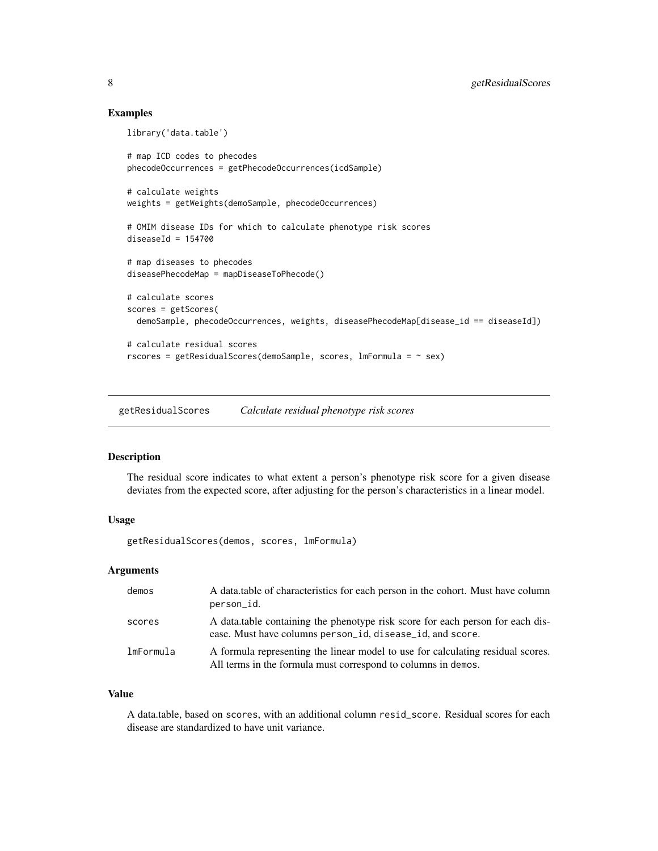#### Examples

```
library('data.table')
# map ICD codes to phecodes
phecodeOccurrences = getPhecodeOccurrences(icdSample)
# calculate weights
weights = getWeights(demoSample, phecodeOccurrences)
# OMIM disease IDs for which to calculate phenotype risk scores
diseaseId = 154700# map diseases to phecodes
diseasePhecodeMap = mapDiseaseToPhecode()
# calculate scores
scores = getScores(
 demoSample, phecodeOccurrences, weights, diseasePhecodeMap[disease_id == diseaseId])
# calculate residual scores
rscores = getResidualScores(demoSample, scores, lmFormula = ~sex)
```
<span id="page-7-1"></span>getResidualScores *Calculate residual phenotype risk scores*

#### Description

The residual score indicates to what extent a person's phenotype risk score for a given disease deviates from the expected score, after adjusting for the person's characteristics in a linear model.

## Usage

getResidualScores(demos, scores, lmFormula)

#### Arguments

| demos     | A data.table of characteristics for each person in the cohort. Must have column<br>person_id.                                                    |
|-----------|--------------------------------------------------------------------------------------------------------------------------------------------------|
| scores    | A data table containing the phenotype risk score for each person for each dis-<br>ease. Must have columns person_id, disease_id, and score.      |
| lmFormula | A formula representing the linear model to use for calculating residual scores.<br>All terms in the formula must correspond to columns in demos. |

#### Value

A data.table, based on scores, with an additional column resid\_score. Residual scores for each disease are standardized to have unit variance.

<span id="page-7-0"></span>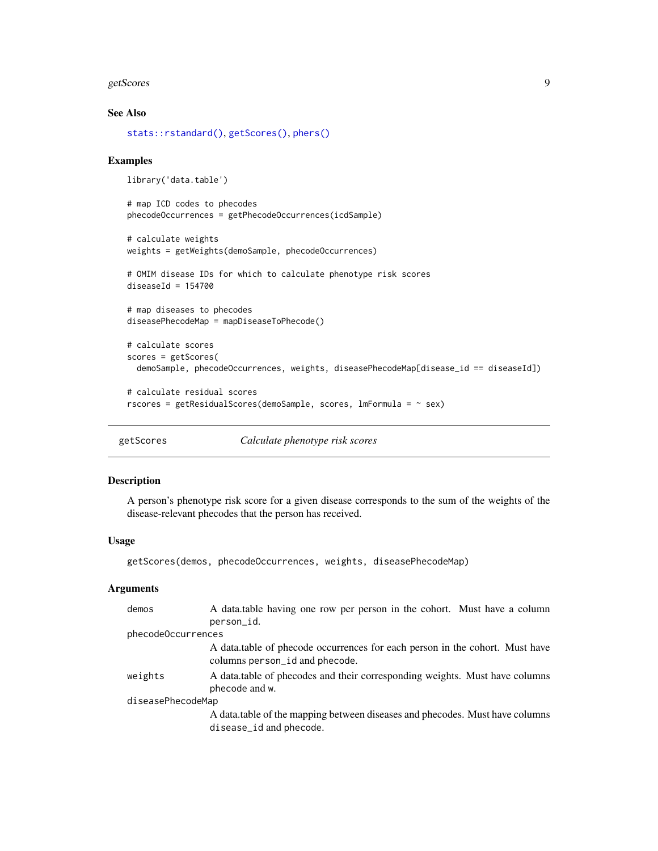#### <span id="page-8-0"></span>getScores 99

## See Also

[stats::rstandard\(\)](#page-0-0), [getScores\(\)](#page-8-1), [phers\(\)](#page-13-1)

#### Examples

```
library('data.table')
```
# map ICD codes to phecodes phecodeOccurrences = getPhecodeOccurrences(icdSample)

```
# calculate weights
weights = getWeights(demoSample, phecodeOccurrences)
```

```
# OMIM disease IDs for which to calculate phenotype risk scores
diseaseId = 154700
```

```
# map diseases to phecodes
diseasePhecodeMap = mapDiseaseToPhecode()
```

```
# calculate scores
scores = getScores(
 demoSample, phecodeOccurrences, weights, diseasePhecodeMap[disease_id == diseaseId])
```

```
# calculate residual scores
rscores = getResidualScores(demoSample, scores, lmFormula = ~ sex)
```
<span id="page-8-1"></span>

getScores *Calculate phenotype risk scores*

### Description

A person's phenotype risk score for a given disease corresponds to the sum of the weights of the disease-relevant phecodes that the person has received.

#### Usage

```
getScores(demos, phecodeOccurrences, weights, diseasePhecodeMap)
```
## Arguments

| demos              | A data table having one row per person in the cohort. Must have a column                                       |  |  |  |  |
|--------------------|----------------------------------------------------------------------------------------------------------------|--|--|--|--|
|                    | person_id.                                                                                                     |  |  |  |  |
| phecodeOccurrences |                                                                                                                |  |  |  |  |
|                    | A data table of phecode occurrences for each person in the cohort. Must have<br>columns person_id and phecode. |  |  |  |  |
| weights            | A data table of phecodes and their corresponding weights. Must have columns<br>phecode and w.                  |  |  |  |  |
| diseasePhecodeMap  |                                                                                                                |  |  |  |  |
|                    | A data table of the mapping between diseases and phecodes. Must have columns<br>disease_id and phecode.        |  |  |  |  |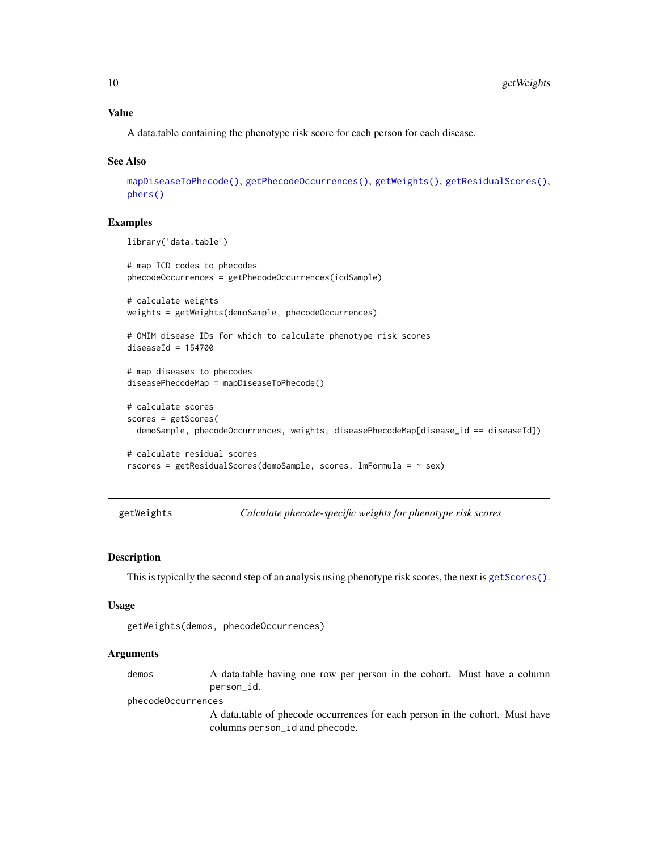## <span id="page-9-0"></span>Value

A data.table containing the phenotype risk score for each person for each disease.

#### See Also

```
mapDiseaseToPhecode(), getPhecodeOccurrences(), getWeights(), getResidualScores(),
phers()
```
#### Examples

```
library('data.table')
# map ICD codes to phecodes
phecodeOccurrences = getPhecodeOccurrences(icdSample)
# calculate weights
weights = getWeights(demoSample, phecodeOccurrences)
# OMIM disease IDs for which to calculate phenotype risk scores
diseaseId = 154700# map diseases to phecodes
diseasePhecodeMap = mapDiseaseToPhecode()
# calculate scores
scores = getScores(
  demoSample, phecodeOccurrences, weights, diseasePhecodeMap[disease_id == diseaseId])
# calculate residual scores
rscores = getResidualScores(demoSample, scores, lmFormula = ~ sex)
```
<span id="page-9-1"></span>getWeights *Calculate phecode-specific weights for phenotype risk scores*

#### Description

This is typically the second step of an analysis using phenotype risk scores, the next is [getScores\(\)](#page-8-1).

#### Usage

```
getWeights(demos, phecodeOccurrences)
```
#### Arguments

demos A data.table having one row per person in the cohort. Must have a column person\_id.

phecodeOccurrences

A data.table of phecode occurrences for each person in the cohort. Must have columns person\_id and phecode.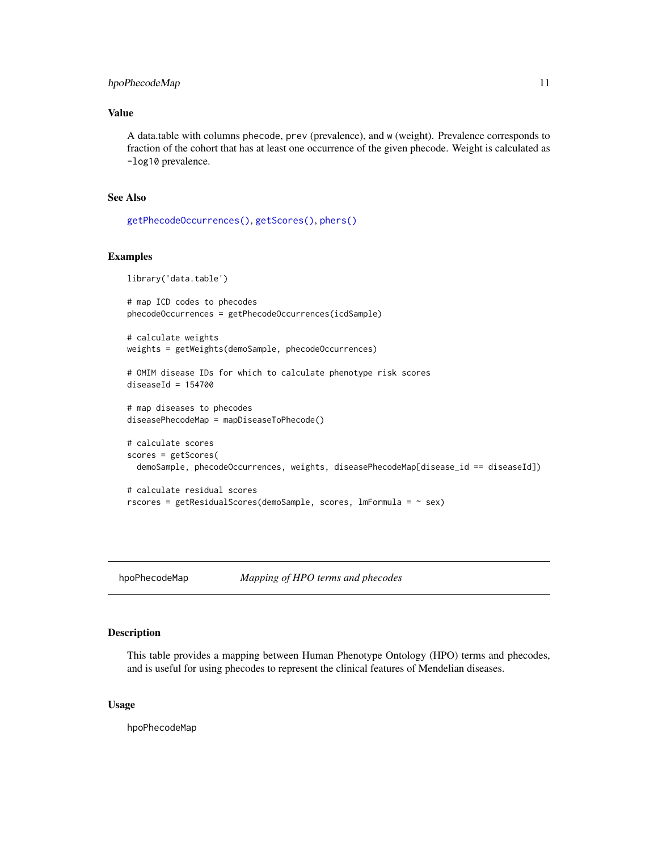## <span id="page-10-0"></span>hpoPhecodeMap 11

## Value

A data.table with columns phecode, prev (prevalence), and w (weight). Prevalence corresponds to fraction of the cohort that has at least one occurrence of the given phecode. Weight is calculated as -log10 prevalence.

## See Also

```
getPhecodeOccurrences(), getScores(), phers()
```
#### Examples

```
library('data.table')
# map ICD codes to phecodes
phecodeOccurrences = getPhecodeOccurrences(icdSample)
# calculate weights
weights = getWeights(demoSample, phecodeOccurrences)
# OMIM disease IDs for which to calculate phenotype risk scores
diseaseId = 154700# map diseases to phecodes
diseasePhecodeMap = mapDiseaseToPhecode()
# calculate scores
scores = getScores(
 demoSample, phecodeOccurrences, weights, diseasePhecodeMap[disease_id == diseaseId])
# calculate residual scores
rscores = getResidualScores(demoSample, scores, lmFormula = ~sex)
```
hpoPhecodeMap *Mapping of HPO terms and phecodes*

#### Description

This table provides a mapping between Human Phenotype Ontology (HPO) terms and phecodes, and is useful for using phecodes to represent the clinical features of Mendelian diseases.

#### Usage

hpoPhecodeMap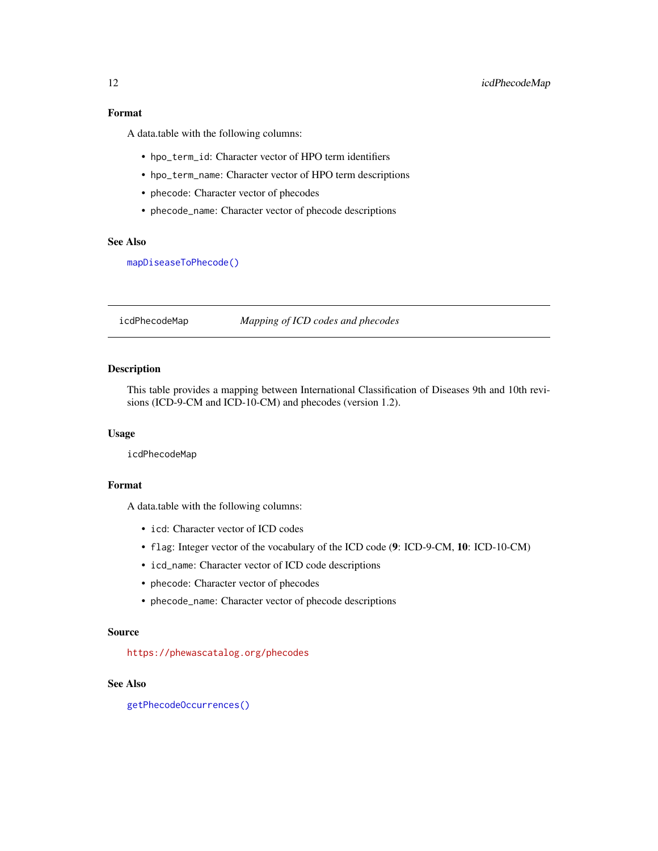## <span id="page-11-0"></span>Format

A data.table with the following columns:

- hpo\_term\_id: Character vector of HPO term identifiers
- hpo\_term\_name: Character vector of HPO term descriptions
- phecode: Character vector of phecodes
- phecode\_name: Character vector of phecode descriptions

### See Also

[mapDiseaseToPhecode\(\)](#page-12-1)

<span id="page-11-1"></span>icdPhecodeMap *Mapping of ICD codes and phecodes*

## Description

This table provides a mapping between International Classification of Diseases 9th and 10th revisions (ICD-9-CM and ICD-10-CM) and phecodes (version 1.2).

#### Usage

icdPhecodeMap

## Format

A data.table with the following columns:

- icd: Character vector of ICD codes
- flag: Integer vector of the vocabulary of the ICD code (9: ICD-9-CM, 10: ICD-10-CM)
- icd\_name: Character vector of ICD code descriptions
- phecode: Character vector of phecodes
- phecode\_name: Character vector of phecode descriptions

#### Source

<https://phewascatalog.org/phecodes>

#### See Also

[getPhecodeOccurrences\(\)](#page-6-1)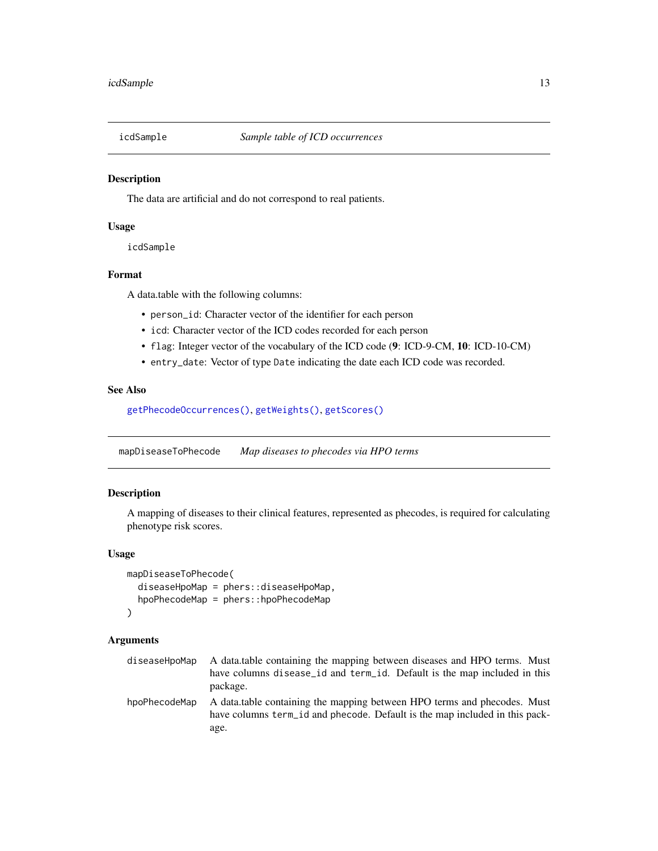<span id="page-12-0"></span>

#### Description

The data are artificial and do not correspond to real patients.

#### Usage

icdSample

#### Format

A data.table with the following columns:

- person\_id: Character vector of the identifier for each person
- icd: Character vector of the ICD codes recorded for each person
- flag: Integer vector of the vocabulary of the ICD code (9: ICD-9-CM, 10: ICD-10-CM)
- entry\_date: Vector of type Date indicating the date each ICD code was recorded.

## See Also

[getPhecodeOccurrences\(\)](#page-6-1), [getWeights\(\)](#page-9-1), [getScores\(\)](#page-8-1)

<span id="page-12-1"></span>mapDiseaseToPhecode *Map diseases to phecodes via HPO terms*

### Description

A mapping of diseases to their clinical features, represented as phecodes, is required for calculating phenotype risk scores.

#### Usage

```
mapDiseaseToPhecode(
  diseaseHpoMap = phers::diseaseHpoMap,
  hpoPhecodeMap = phers::hpoPhecodeMap
\lambda
```
#### Arguments

| diseaseHpoMap | A data table containing the mapping between diseases and HPO terms. Must<br>have columns disease_id and term_id. Default is the map included in this<br>package. |
|---------------|------------------------------------------------------------------------------------------------------------------------------------------------------------------|
| hpoPhecodeMap | A data table containing the mapping between HPO terms and phecodes. Must<br>have columns term id and phecode. Default is the map included in this pack-<br>age.  |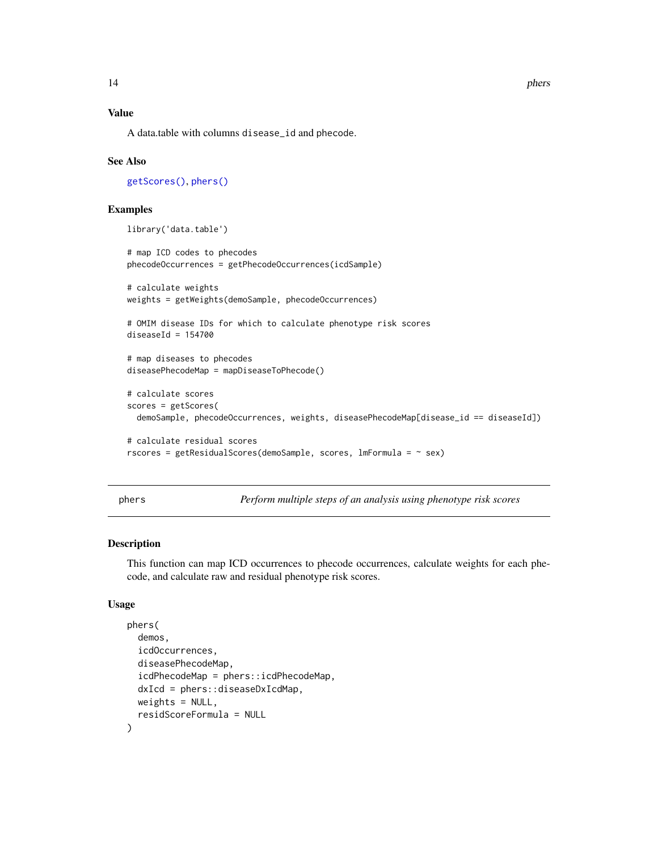## Value

A data.table with columns disease\_id and phecode.

#### See Also

[getScores\(\)](#page-8-1), [phers\(\)](#page-13-1)

## Examples

```
library('data.table')
```

```
# map ICD codes to phecodes
phecodeOccurrences = getPhecodeOccurrences(icdSample)
# calculate weights
weights = getWeights(demoSample, phecodeOccurrences)
# OMIM disease IDs for which to calculate phenotype risk scores
diseaseId = 154700# map diseases to phecodes
diseasePhecodeMap = mapDiseaseToPhecode()
# calculate scores
scores = getScores(
 demoSample, phecodeOccurrences, weights, diseasePhecodeMap[disease_id == diseaseId])
# calculate residual scores
rscores = getResidualScores(demoSample, scores, lmFormula = ~ sex)
```
<span id="page-13-1"></span>phers *Perform multiple steps of an analysis using phenotype risk scores*

#### Description

This function can map ICD occurrences to phecode occurrences, calculate weights for each phecode, and calculate raw and residual phenotype risk scores.

## Usage

```
phers(
  demos,
  icdOccurrences,
  diseasePhecodeMap,
  icdPhecodeMap = phers::icdPhecodeMap,
  dxIcd = phers::diseaseDxIcdMap,
  weights = NULL,residScoreFormula = NULL
)
```
<span id="page-13-0"></span>14 phers and the phers of the state of the state of the state of the state of the state of the state of the state of the state of the state of the state of the state of the state of the state of the state of the state of t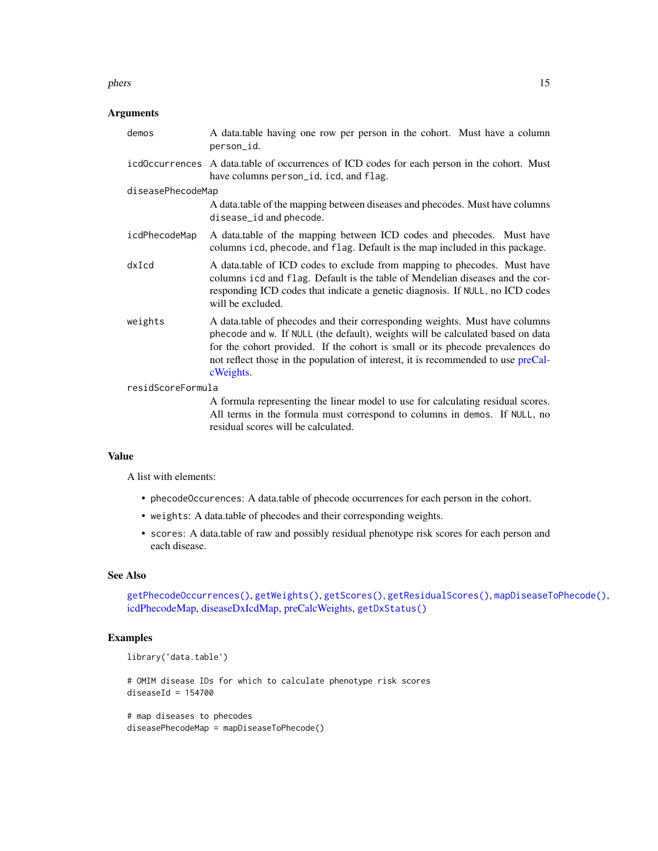#### <span id="page-14-0"></span>phers and the state of the state of the state of the state of the state of the state of the state of the state of the state of the state of the state of the state of the state of the state of the state of the state of the

## Arguments

| demos             | A data table having one row per person in the cohort. Must have a column<br>person_id.                                                                                                                                                                                                                                                           |  |  |  |  |  |
|-------------------|--------------------------------------------------------------------------------------------------------------------------------------------------------------------------------------------------------------------------------------------------------------------------------------------------------------------------------------------------|--|--|--|--|--|
| icdOccurrences    | A data table of occurrences of ICD codes for each person in the cohort. Must<br>have columns person_id, icd, and flag.                                                                                                                                                                                                                           |  |  |  |  |  |
| diseasePhecodeMap |                                                                                                                                                                                                                                                                                                                                                  |  |  |  |  |  |
|                   | A data.table of the mapping between diseases and phecodes. Must have columns<br>disease_id and phecode.                                                                                                                                                                                                                                          |  |  |  |  |  |
| icdPhecodeMap     | A data table of the mapping between ICD codes and phecodes. Must have<br>columns icd, phecode, and flag. Default is the map included in this package.                                                                                                                                                                                            |  |  |  |  |  |
| $dx$ Icd          | A data.table of ICD codes to exclude from mapping to phecodes. Must have<br>columns icd and flag. Default is the table of Mendelian diseases and the cor-<br>responding ICD codes that indicate a genetic diagnosis. If NULL, no ICD codes<br>will be excluded.                                                                                  |  |  |  |  |  |
| weights           | A data.table of phecodes and their corresponding weights. Must have columns<br>phecode and w. If NULL (the default), weights will be calculated based on data<br>for the cohort provided. If the cohort is small or its phecode prevalences do<br>not reflect those in the population of interest, it is recommended to use preCal-<br>cWeights. |  |  |  |  |  |
| residScoreFormula |                                                                                                                                                                                                                                                                                                                                                  |  |  |  |  |  |
|                   | A formula representing the linear model to use for calculating residual scores.<br>All terms in the formula must correspond to columns in demos. If NULL, no<br>residual scores will be calculated.                                                                                                                                              |  |  |  |  |  |

## Value

A list with elements:

- phecodeOccurences: A data.table of phecode occurrences for each person in the cohort.
- weights: A data.table of phecodes and their corresponding weights.
- scores: A data.table of raw and possibly residual phenotype risk scores for each person and each disease.

## See Also

[getPhecodeOccurrences\(\)](#page-6-1), [getWeights\(\)](#page-9-1), [getScores\(\)](#page-8-1), [getResidualScores\(\)](#page-7-1), [mapDiseaseToPhecode\(\)](#page-12-1), [icdPhecodeMap,](#page-11-1) [diseaseDxIcdMap,](#page-2-1) [preCalcWeights,](#page-15-1) [getDxStatus\(\)](#page-3-1)

## Examples

library('data.table')

# OMIM disease IDs for which to calculate phenotype risk scores  $diseaseId = 154700$ 

# map diseases to phecodes diseasePhecodeMap = mapDiseaseToPhecode()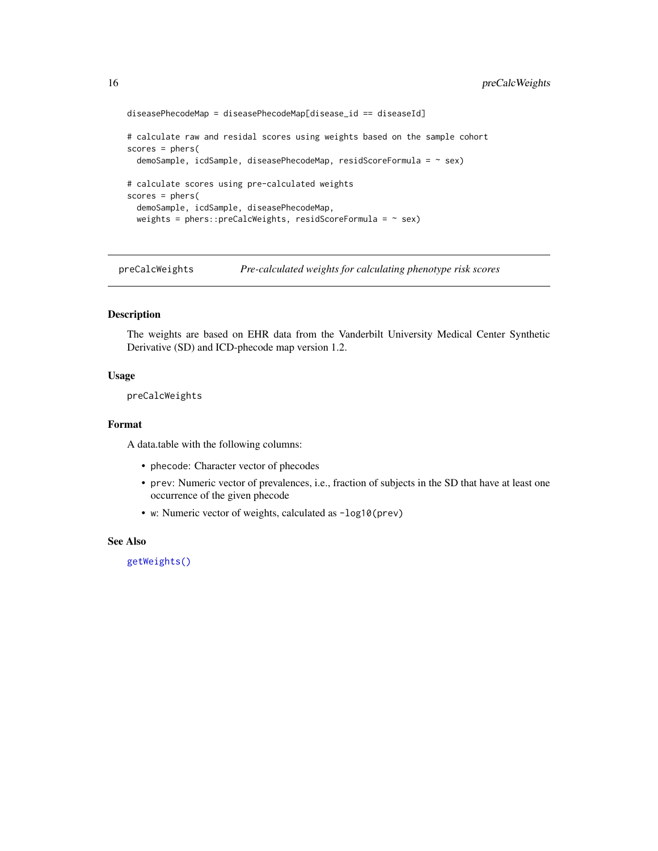```
diseasePhecodeMap = diseasePhecodeMap[disease_id == diseaseId]
# calculate raw and residal scores using weights based on the sample cohort
scores = phers(
 demoSample, icdSample, diseasePhecodeMap, residScoreFormula = ~ sex)
# calculate scores using pre-calculated weights
scores = phers(
 demoSample, icdSample, diseasePhecodeMap,
 weights = phers:: preCalcWeights, residScoreFormula = \sim sex)
```
<span id="page-15-1"></span>preCalcWeights *Pre-calculated weights for calculating phenotype risk scores*

## Description

The weights are based on EHR data from the Vanderbilt University Medical Center Synthetic Derivative (SD) and ICD-phecode map version 1.2.

#### Usage

preCalcWeights

## Format

A data.table with the following columns:

- phecode: Character vector of phecodes
- prev: Numeric vector of prevalences, i.e., fraction of subjects in the SD that have at least one occurrence of the given phecode
- w: Numeric vector of weights, calculated as -log10(prev)

#### See Also

[getWeights\(\)](#page-9-1)